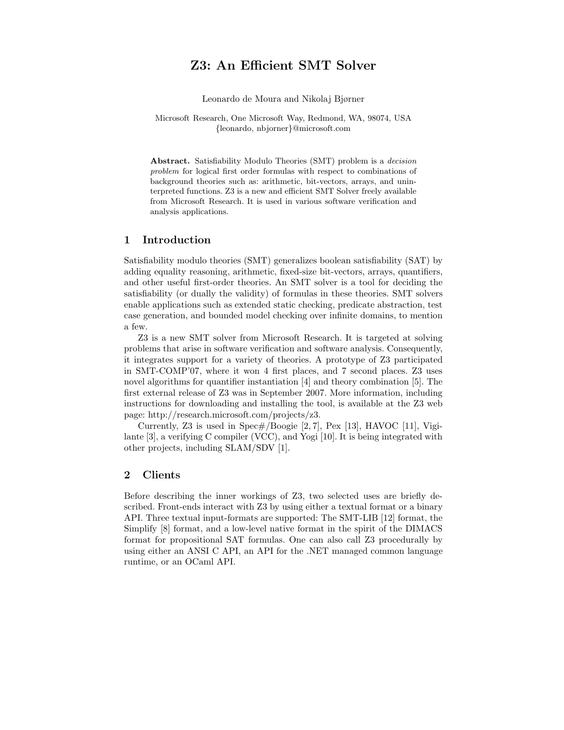# Z3: An Efficient SMT Solver

Leonardo de Moura and Nikolaj Bjørner

Microsoft Research, One Microsoft Way, Redmond, WA, 98074, USA {leonardo, nbjorner}@microsoft.com

Abstract. Satisfiability Modulo Theories (SMT) problem is a decision problem for logical first order formulas with respect to combinations of background theories such as: arithmetic, bit-vectors, arrays, and uninterpreted functions. Z3 is a new and efficient SMT Solver freely available from Microsoft Research. It is used in various software verification and analysis applications.

### 1 Introduction

Satisfiability modulo theories (SMT) generalizes boolean satisfiability (SAT) by adding equality reasoning, arithmetic, fixed-size bit-vectors, arrays, quantifiers, and other useful first-order theories. An SMT solver is a tool for deciding the satisfiability (or dually the validity) of formulas in these theories. SMT solvers enable applications such as extended static checking, predicate abstraction, test case generation, and bounded model checking over infinite domains, to mention a few.

Z3 is a new SMT solver from Microsoft Research. It is targeted at solving problems that arise in software verification and software analysis. Consequently, it integrates support for a variety of theories. A prototype of Z3 participated in SMT-COMP'07, where it won 4 first places, and 7 second places. Z3 uses novel algorithms for quantifier instantiation [4] and theory combination [5]. The first external release of Z3 was in September 2007. More information, including instructions for downloading and installing the tool, is available at the Z3 web page: http://research.microsoft.com/projects/z3.

Currently, Z3 is used in  $Spec\#/Boogie [2, 7]$ , Pex [13], HAVOC [11], Vigilante [3], a verifying C compiler (VCC), and Yogi [10]. It is being integrated with other projects, including SLAM/SDV [1].

#### 2 Clients

Before describing the inner workings of Z3, two selected uses are briefly described. Front-ends interact with Z3 by using either a textual format or a binary API. Three textual input-formats are supported: The SMT-LIB [12] format, the Simplify [8] format, and a low-level native format in the spirit of the DIMACS format for propositional SAT formulas. One can also call Z3 procedurally by using either an ANSI C API, an API for the .NET managed common language runtime, or an OCaml API.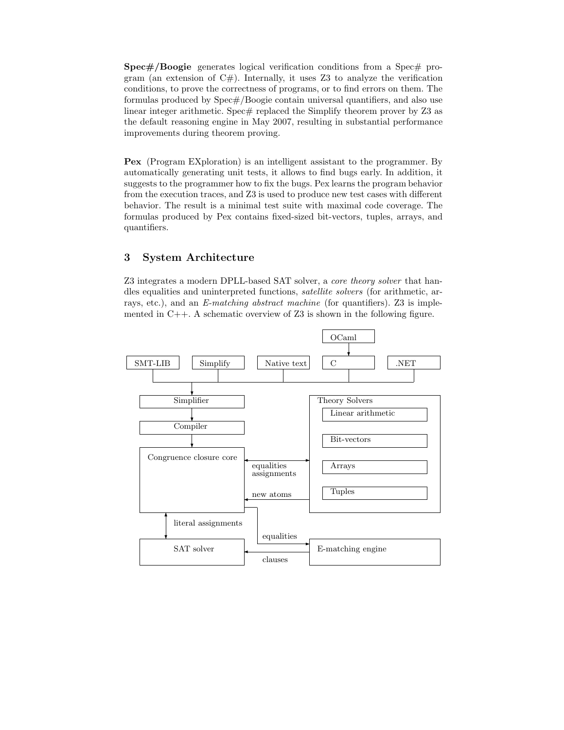**Spec#/Boogie** generates logical verification conditions from a Spec# program (an extension of  $C#$ ). Internally, it uses Z3 to analyze the verification conditions, to prove the correctness of programs, or to find errors on them. The formulas produced by Spec#/Boogie contain universal quantifiers, and also use linear integer arithmetic. Spec $#$  replaced the Simplify theorem prover by Z3 as the default reasoning engine in May 2007, resulting in substantial performance improvements during theorem proving.

Pex (Program EXploration) is an intelligent assistant to the programmer. By automatically generating unit tests, it allows to find bugs early. In addition, it suggests to the programmer how to fix the bugs. Pex learns the program behavior from the execution traces, and Z3 is used to produce new test cases with different behavior. The result is a minimal test suite with maximal code coverage. The formulas produced by Pex contains fixed-sized bit-vectors, tuples, arrays, and quantifiers.

# 3 System Architecture

Z3 integrates a modern DPLL-based SAT solver, a core theory solver that handles equalities and uninterpreted functions, satellite solvers (for arithmetic, arrays, etc.), and an E-matching abstract machine (for quantifiers). Z3 is implemented in  $C++$ . A schematic overview of Z3 is shown in the following figure.

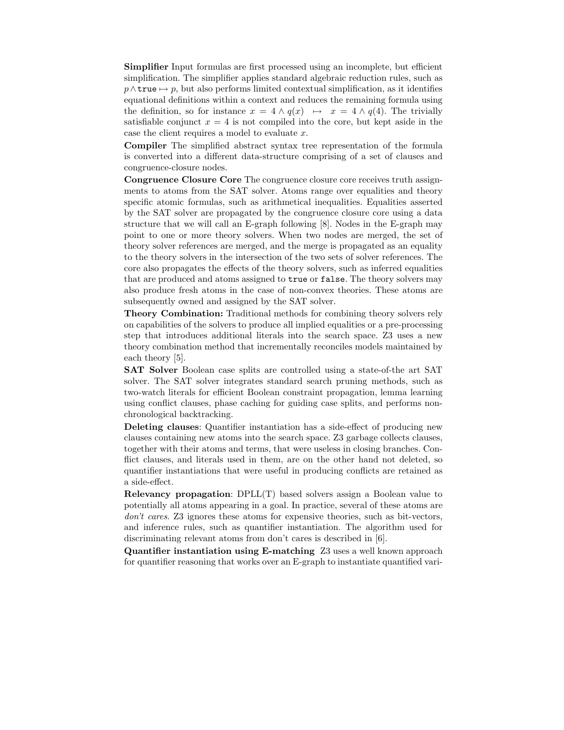Simplifier Input formulas are first processed using an incomplete, but efficient simplification. The simplifier applies standard algebraic reduction rules, such as  $p \wedge \text{true} \mapsto p$ , but also performs limited contextual simplification, as it identifies equational definitions within a context and reduces the remaining formula using the definition, so for instance  $x = 4 \wedge q(x) \mapsto x = 4 \wedge q(4)$ . The trivially satisfiable conjunct  $x = 4$  is not compiled into the core, but kept aside in the case the client requires a model to evaluate x.

Compiler The simplified abstract syntax tree representation of the formula is converted into a different data-structure comprising of a set of clauses and congruence-closure nodes.

Congruence Closure Core The congruence closure core receives truth assignments to atoms from the SAT solver. Atoms range over equalities and theory specific atomic formulas, such as arithmetical inequalities. Equalities asserted by the SAT solver are propagated by the congruence closure core using a data structure that we will call an E-graph following [8]. Nodes in the E-graph may point to one or more theory solvers. When two nodes are merged, the set of theory solver references are merged, and the merge is propagated as an equality to the theory solvers in the intersection of the two sets of solver references. The core also propagates the effects of the theory solvers, such as inferred equalities that are produced and atoms assigned to true or false. The theory solvers may also produce fresh atoms in the case of non-convex theories. These atoms are subsequently owned and assigned by the SAT solver.

Theory Combination: Traditional methods for combining theory solvers rely on capabilities of the solvers to produce all implied equalities or a pre-processing step that introduces additional literals into the search space. Z3 uses a new theory combination method that incrementally reconciles models maintained by each theory [5].

SAT Solver Boolean case splits are controlled using a state-of-the art SAT solver. The SAT solver integrates standard search pruning methods, such as two-watch literals for efficient Boolean constraint propagation, lemma learning using conflict clauses, phase caching for guiding case splits, and performs nonchronological backtracking.

Deleting clauses: Quantifier instantiation has a side-effect of producing new clauses containing new atoms into the search space. Z3 garbage collects clauses, together with their atoms and terms, that were useless in closing branches. Conflict clauses, and literals used in them, are on the other hand not deleted, so quantifier instantiations that were useful in producing conflicts are retained as a side-effect.

Relevancy propagation: DPLL(T) based solvers assign a Boolean value to potentially all atoms appearing in a goal. In practice, several of these atoms are don't cares. Z3 ignores these atoms for expensive theories, such as bit-vectors, and inference rules, such as quantifier instantiation. The algorithm used for discriminating relevant atoms from don't cares is described in [6].

Quantifier instantiation using E-matching Z3 uses a well known approach for quantifier reasoning that works over an E-graph to instantiate quantified vari